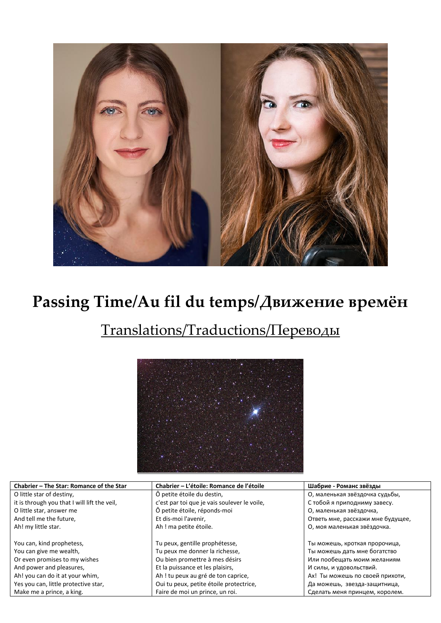

## **Passing Time/Au fil du temps/Движение времён**

## Translations/Traductions/Переводы



| Chabrier - The Star: Romance of the Star     | Chabrier – L'étoile: Romance de l'étoile     | Шабрие - Романс звёзды            |
|----------------------------------------------|----------------------------------------------|-----------------------------------|
| O little star of destiny,                    | Ô petite étoile du destin,                   | О, маленькая звёздочка судьбы,    |
| it is through you that I will lift the veil, | c'est par toi que je vais soulever le voile, | С тобой я приподниму завесу.      |
| O little star, answer me                     | Ô petite étoile, réponds-moi                 | О, маленькая звёздочка,           |
| And tell me the future,                      | Et dis-moi l'avenir,                         | Ответь мне, расскажи мне будущее, |
| Ah! my little star.                          | Ah ! ma petite étoile.                       | О, моя маленькая звёздочка.       |
|                                              |                                              |                                   |
| You can, kind prophetess,                    | Tu peux, gentille prophétesse,               | Ты можешь, кроткая пророчица,     |
| You can give me wealth,                      | Tu peux me donner la richesse,               | Ты можешь дать мне богатство      |
| Or even promises to my wishes                | Ou bien promettre à mes désirs               | Или пообещать моим желаниям       |
| And power and pleasures,                     | Et la puissance et les plaisirs,             | И силы, и удовольствий.           |
| Ah! you can do it at your whim,              | Ah! tu peux au gré de ton caprice,           | Ах! Ты можешь по своей прихоти,   |
| Yes you can, little protective star,         | Oui tu peux, petite étoile protectrice,      | Да можешь, звезда-защитница,      |
| Make me a prince, a king.                    | Faire de moi un prince, un roi.              | Сделать меня принцем, королем.    |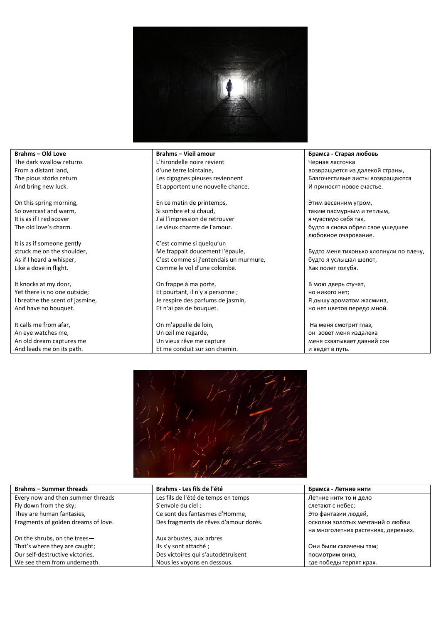

The dark swallow returns From a distant land, The pious storks return And bring new luck.

On this spring morning, So overcast and warm, It is as if I rediscover The old love's charm.

It is as if someone gently struck me on the shoulder, As if I heard a whisper, Like a dove in flight.

It knocks at my door, Yet there is no one outside; I breathe the scent of jasmine, And have no bouquet.

It calls me from afar, An eye watches me, An old dream captures me And leads me on its path.

**Brahms – Old Love Brahms – Vieil amour Брамса - Старая любовь** L'hirondelle noire revient d'une terre lointaine, Les cigognes pieuses reviennent Et apportent une nouvelle chance.

> En ce matin de printemps, Si sombre et si chaud, J'ai l'impression de retrouver Le vieux charme de l'amour.

C'est comme si quelqu'un Me frappait doucement l'épaule, C'est comme si j'entendais un murmure, Comme le vol d'une colombe.

On frappe à ma porte, Et pourtant, il n'y a personne ; Je respire des parfums de jasmin, Et n'ai pas de bouquet.

On m'appelle de loin, Un œil me regarde, Un vieux rêve me capture Et me conduit sur son chemin. Черная ласточка

возвращается из далекой страны, Благочестивые аисты возвращаются И приносят новое счастье.

Этим весенним утром, таким пасмурным и теплым, я чувствую себя так, будто я снова обрел свое ушедшее любовное очарование.

Будто меня тихонько хлопнули по плечу, будто я услышал шепот, Как полет голубя.

В мою дверь стучат, но никого нет; Я дышу ароматом жасмина, но нет цветов передо мной.

На меня смотрит глаз, он зовет меня издалека меня схватывает давний сон и ведет в путь.



| <b>Brahms – Summer threads</b>      | Brahms - Les fils de l'été            | Брамса - Летние нити                |
|-------------------------------------|---------------------------------------|-------------------------------------|
| Every now and then summer threads   | Les fils de l'été de temps en temps   | Летние нити то и дело               |
| Fly down from the sky;              | S'envole du ciel ;                    | слетают с небес;                    |
| They are human fantasies,           | Ce sont des fantasmes d'Homme,        | Это фантазии людей,                 |
| Fragments of golden dreams of love. | Des fragments de rêves d'amour dorés. | осколки золотых мечтаний о любви    |
|                                     |                                       | на многолетних растениях, деревьях. |
| On the shrubs, on the trees-        | Aux arbustes, aux arbres              |                                     |
| That's where they are caught;       | Ils s'y sont attaché;                 | Они были схвачены там;              |
| Our self-destructive victories,     | Des victoires qui s'autodétruisent    | посмотрим вниз,                     |
| We see them from underneath.        | Nous les voyons en dessous.           | где победы терпят крах.             |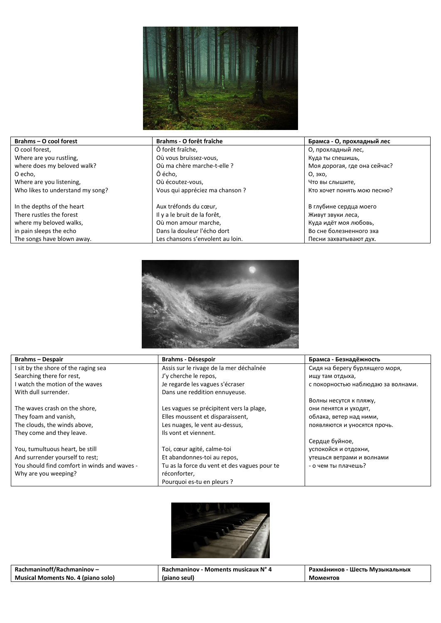

| Brahms - O cool forest           | Brahms - O forêt fraîche         | Брамса - О, прохладный лес   |
|----------------------------------|----------------------------------|------------------------------|
| O cool forest,                   | Ô forêt fraîche,                 | О, прохладный лес,           |
| Where are you rustling,          | Où vous bruissez-vous,           | Куда ты спешишь,             |
| where does my beloved walk?      | Où ma chère marche-t-elle ?      | Моя дорогая, где она сейчас? |
| O echo,                          | Ô écho.                          | О, эхо,                      |
| Where are you listening,         | Où écoutez-vous,                 | Что вы слышите,              |
| Who likes to understand my song? | Vous qui appréciez ma chanson ?  | Кто хочет понять мою песню?  |
| In the depths of the heart       | Aux tréfonds du cœur,            | В глубине сердца моего       |
| There rustles the forest         | Il y a le bruit de la forêt,     | Живут звуки леса,            |
| where my beloved walks,          | Où mon amour marche,             | Куда идёт моя любовь,        |
|                                  |                                  |                              |
| in pain sleeps the echo          | Dans la douleur l'écho dort      | Во сне болезненного эха      |
| The songs have blown away.       | Les chansons s'envolent au loin. | Песни захватывают дух.       |



| <b>Brahms-Despair</b>                        | <b>Brahms - Désespoir</b>                    | Брамса - Безнадёжность             |
|----------------------------------------------|----------------------------------------------|------------------------------------|
| I sit by the shore of the raging sea         | Assis sur le rivage de la mer déchaînée      | Сидя на берегу бурлящего моря,     |
| Searching there for rest,                    | J'y cherche le repos,                        | ищу там отдыха,                    |
| I watch the motion of the waves              | Je regarde les vagues s'écraser              | с покорностью наблюдаю за волнами. |
| With dull surrender.                         | Dans une reddition ennuyeuse.                |                                    |
|                                              |                                              | Волны несутся к пляжу,             |
| The waves crash on the shore,                | Les vagues se précipitent vers la plage,     | они пенятся и уходят,              |
| They foam and vanish,                        | Elles moussent et disparaissent,             | облака, ветер над ними,            |
| The clouds, the winds above,                 | Les nuages, le vent au-dessus,               | появляются и уносятся прочь.       |
| They come and they leave.                    | Ils vont et viennent.                        |                                    |
|                                              |                                              | Сердце буйное,                     |
| You, tumultuous heart, be still              | Toi, cœur agité, calme-toi                   | успокойся и отдохни,               |
| And surrender yourself to rest;              | Et abandonnes-toi au repos,                  | утешься ветрами и волнами          |
| You should find comfort in winds and waves - | Tu as la force du vent et des vagues pour te | - о чем ты плачешь?                |
| Why are you weeping?                         | réconforter,                                 |                                    |
|                                              | Pourquoi es-tu en pleurs ?                   |                                    |



| Rachmaninoff/Rachmaninov -         | Rachmaninov - Moments musicaux N° 4 | Рахма́нинов - Шесть Музыкальных |
|------------------------------------|-------------------------------------|---------------------------------|
| Musical Moments No. 4 (piano solo) | (piano seul)                        | Моментов                        |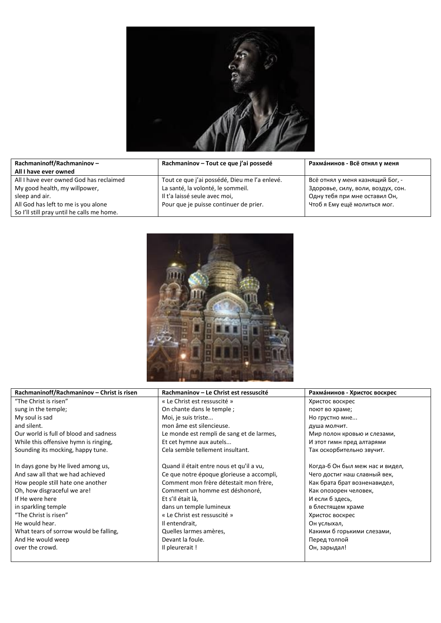

| Rachmaninoff/Rachmaninov -                 | Rachmaninov – Tout ce que j'ai possedé        | Рахманинов - Всё отнял у меня      |
|--------------------------------------------|-----------------------------------------------|------------------------------------|
| All I have ever owned                      |                                               |                                    |
| All I have ever owned God has reclaimed    | Tout ce que j'ai possédé, Dieu me l'a enlevé. | Всё отнял у меня казнящий Бог, -   |
| My good health, my willpower,              | La santé, la volonté, le sommeil.             | Здоровье, силу, воли, воздух, сон. |
| sleep and air.                             | Il t'a laissé seule avec moi,                 | Одну тебя при мне оставил Он,      |
| All God has left to me is you alone        | Pour que je puisse continuer de prier.        | Чтоб я Ему ещё молиться мог.       |
| So I'll still pray until he calls me home. |                                               |                                    |



| Rachmaninoff/Rachmaninov - Christ is risen | Rachmaninov – Le Christ est ressuscité    | Рахманинов - Христос воскрес    |
|--------------------------------------------|-------------------------------------------|---------------------------------|
| "The Christ is risen"                      | « Le Christ est ressuscité »              | Христос воскрес                 |
| sung in the temple;                        | On chante dans le temple;                 | поют во храме;                  |
| My soul is sad                             | Moi, je suis triste                       | Но грустно мне                  |
| and silent.                                | mon âme est silencieuse.                  | душа молчит.                    |
| Our world is full of blood and sadness     | Le monde est rempli de sang et de larmes, | Мир полон кровью и слезами,     |
| While this offensive hymn is ringing,      | Et cet hymne aux autels                   | И этот гимн пред алтарями       |
| Sounding its mocking, happy tune.          | Cela semble tellement insultant.          | Так оскорбительно звучит.       |
|                                            |                                           |                                 |
| In days gone by He lived among us,         | Quand il était entre nous et qu'il a vu,  | Когда-б Он был меж нас и видел, |
| And saw all that we had achieved           | Ce que notre époque glorieuse a accompli, | Чего достиг наш славный век,    |
| How people still hate one another          | Comment mon frère détestait mon frère,    | Как брата брат возненавидел,    |
| Oh, how disgraceful we are!                | Comment un homme est déshonoré,           | Как опозорен человек,           |
| If He were here                            | Et s'Il était là,                         | И если б здесь,                 |
| in sparkling temple                        | dans un temple lumineux                   | в блестящем храме               |
| "The Christ is risen"                      | « Le Christ est ressuscité »              | Христос воскрес                 |
| He would hear.                             | Il entendrait,                            | Он услыхал,                     |
| What tears of sorrow would be falling,     | Quelles larmes amères,                    | Какими б горькими слезами,      |
| And He would weep                          | Devant la foule.                          | Перед толпой                    |
| over the crowd.                            | Il pleurerait!                            | Он, зарыдал!                    |
|                                            |                                           |                                 |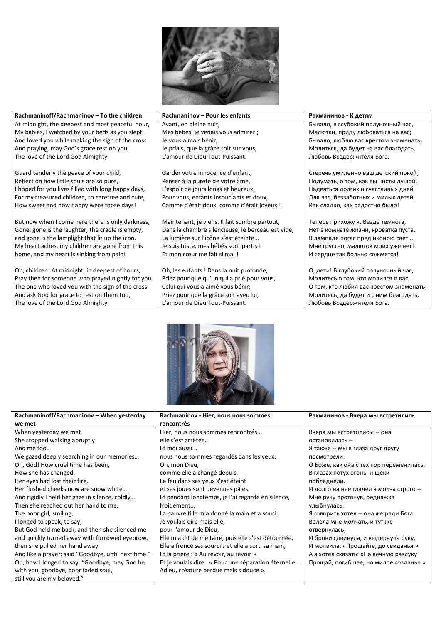

| Rachmaninoff/Rachmaninov - To the children         | Rachmaninov - Pour les enfants                    | Рахманинов - К детям                    |
|----------------------------------------------------|---------------------------------------------------|-----------------------------------------|
| At midnight, the deepest and most peaceful hour,   | Avant, en pleine nuit,                            | Бывало, в глубокий полуночный час,      |
| My babies, I watched by your beds as you slept;    | Mes bébés, je venais vous admirer ;               | Малютки, приду любоваться на вас;       |
| And loved you while making the sign of the cross   | Je vous aimais bénir,                             | Бывало, люблю вас крестом знаменать,    |
| And praying, may God's grace rest on you,          | Je priais, que la grâce soit sur vous,            | Молиться, да будет на вас благодать,    |
| The love of the Lord God Almighty.                 | L'amour de Dieu Tout-Puissant.                    | Любовь Вседержителя Бога.               |
| Guard tenderly the peace of your child,            | Garder votre innocence d'enfant,                  | Стеречь умиленно ваш детский покой,     |
| Reflect on how little souls are so pure,           | Penser à la pureté de votre âme,                  | Подумать, о том, как вы чисты душой,    |
| I hoped for you lives filled with long happy days, | L'espoir de jours longs et heureux.               | Надеяться долгих и счастливых дней      |
| For my treasured children, so carefree and cute,   | Pour vous, enfants insouciants et doux,           | Для вас, беззаботных и милых детей,     |
| How sweet and how happy were those days!           | Comme c'était doux, comme c'était joyeux !        | Как сладко, как радостно было!          |
| But now when I come here there is only darkness,   | Maintenant, je viens. Il fait sombre partout,     | Теперь прихожу я. Везде темнота,        |
| Gone, gone is the laughter, the cradle is empty,   | Dans la chambre silencieuse, le berceau est vide, | Нет в комнате жизни, кроватка пуста,    |
| and gone is the lamplight that lit up the icon.    | La lumière sur l'icône s'est éteinte              | В лампаде погас пред иконою свет        |
| My heart aches, my children are gone from this     | Je suis triste, mes bébés sont partis !           | Мне грустно, малюток моих уже нет!      |
| home, and my heart is sinking from pain!           | Et mon cœur me fait si mal!                       | И сердце так больно сожмется!           |
| Oh, children! At midnight, in deepest of hours,    | Oh, les enfants ! Dans la nuit profonde,          | О, дети! В глубокий полуночный час,     |
| Pray then for someone who prayed nightly for you,  | Priez pour quelqu'un qui a prié pour vous,        | Молитесь о том, кто молился о вас,      |
| The one who loved you with the sign of the cross   | Celui qui vous a aimé vous bénir;                 | О том, кто любил вас крестом знаменать; |
| And ask God for grace to rest on them too,         | Priez pour que la grâce soit avec lui,            | Молитесь, да будет и с ним благодать,   |
| The love of the Lord God Almighty                  | L'amour de Dieu Tout-Puissant.                    | Любовь Вседержителя Бога.               |



| Rachmaninoff/Rachmaninov - When yesterday           | Rachmaninov - Hier, nous nous sommes                 | Рахманинов - Вчера мы встретились       |
|-----------------------------------------------------|------------------------------------------------------|-----------------------------------------|
| we met                                              | rencontrés                                           |                                         |
| When yesterday we met                               | Hier, nous nous sommes rencontrés                    | Вчера мы встретились: -- она            |
| She stopped walking abruptly                        | elle s'est arrêtée                                   | остановилась --                         |
| And me too                                          | Et moi aussi                                         | Я также -- мы в глаза друг другу        |
| We gazed deeply searching in our memories           | nous nous sommes regardés dans les yeux.             | посмотрели.                             |
| Oh, God! How cruel time has been,                   | Oh, mon Dieu,                                        | О Боже, как она с тех пор переменилась, |
| How she has changed,                                | comme elle a changé depuis,                          | В глазах потух огонь, и щёки            |
| Her eyes had lost their fire,                       | Le feu dans ses yeux s'est éteint                    | побледнели.                             |
| Her flushed cheeks now are snow white               | et ses joues sont devenues pâles.                    | И долго на неё глядел я молча строго -- |
| And rigidly I held her gaze in silence, coldly      | Et pendant longtemps, je l'ai regardé en silence,    | Мне руку протянув, бедняжка             |
| Then she reached out her hand to me,                | froidement                                           | улыбнулась;                             |
| The poor girl, smiling;                             | La pauvre fille m'a donné la main et a souri ;       | Я говорить хотел -- она же ради Бога    |
| I longed to speak, to say;                          | Je voulais dire mais elle,                           | Велела мне молчать, и тут же            |
| But God held me back, and then she silenced me      | pour l'amour de Dieu,                                | отвернулась,                            |
| and quickly turned away with furrowed eyebrow,      | Elle m'a dit de me taire, puis elle s'est détournée, | И брови сдвинула, и выдернула руку,     |
| then she pulled her hand away                       | Elle a froncé ses sourcils et elle a sorti sa main,  | И молвила: «Прощайте, до свиданья.»     |
| And like a prayer: said "Goodbye, until next time." | Et la prière : « Au revoir, au revoir ».             | А я хотел сказать: «На вечную разлуку   |
| Oh, how I longed to say: "Goodbye, may God be       | Et je voulais dire : « Pour une séparation éternelle | Прощай, погибшее, но милое созданье.»   |
| with you, goodbye, poor faded soul,                 | Adieu, créature perdue mais s douce ».               |                                         |
| still you are my beloved."                          |                                                      |                                         |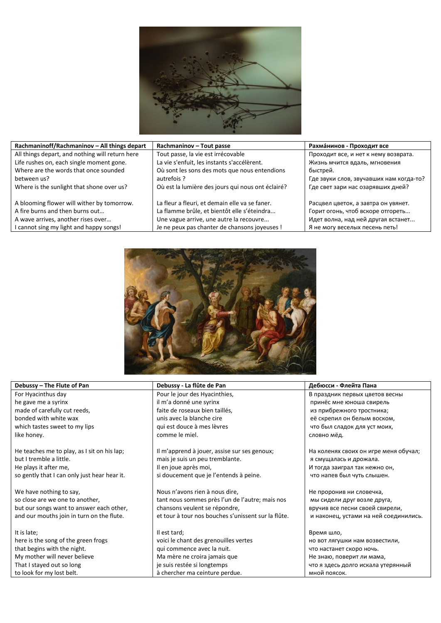

| Rachmaninoff/Rachmaninov - All things depart    | Rachmaninov - Tout passe                          | Рахманинов - Проходит все               |
|-------------------------------------------------|---------------------------------------------------|-----------------------------------------|
| All things depart, and nothing will return here | Tout passe, la vie est irrécovable                | Проходит все, и нет к нему возврата.    |
| Life rushes on, each single moment gone.        | La vie s'enfuit, les instants s'accélèrent.       | Жизнь мчится вдаль, мгновения           |
| Where are the words that once sounded           | Où sont les sons des mots que nous entendions     | быстрей.                                |
| between us?                                     | autrefois ?                                       | Где звуки слов, звучавших нам когда-то? |
| Where is the sunlight that shone over us?       | Où est la lumière des jours qui nous ont éclairé? | Где свет зари нас озарявших дней?       |
|                                                 |                                                   |                                         |
| A blooming flower will wither by tomorrow.      | La fleur a fleuri, et demain elle va se faner.    | Расцвел цветок, а завтра он увянет.     |
| A fire burns and then burns out                 | La flamme brûle, et bientôt elle s'éteindra       | Горит огонь, чтоб вскоре отгореть       |
| A wave arrives, another rises over              | Une vague arrive, une autre la recouvre           | Идет волна, над ней другая встанет      |
| I cannot sing my light and happy songs!         | Je ne peux pas chanter de chansons joyeuses !     | Я не могу веселых песень петь!          |



| Debussy - The Flute of Pan                   | Debussy - La flûte de Pan                           | Дебюсси - Флейта Пана                 |
|----------------------------------------------|-----------------------------------------------------|---------------------------------------|
| For Hyacinthus day                           | Pour le jour des Hyacinthies,                       | В праздник первых цветов весны        |
| he gave me a syrinx                          | il m'a donné une syrinx                             | принёс мне юноша свирель              |
| made of carefully cut reeds,                 | faite de roseaux bien taillés,                      | из прибрежного тростника;             |
| bonded with white wax                        | unis avec la blanche cire                           | её скрепил он белым воском,           |
| which tastes sweet to my lips                | qui est douce à mes lèvres                          | что был сладок для уст моих,          |
| like honey.                                  | comme le miel.                                      | словно мёд.                           |
|                                              |                                                     |                                       |
| He teaches me to play, as I sit on his lap;  | Il m'apprend à jouer, assise sur ses genoux;        | На коленях своих он игре меня обучал; |
| but I tremble a little.                      | mais je suis un peu tremblante.                     | я смущалась и дрожала.                |
| He plays it after me,                        | Il en joue après moi,                               | И тогда заиграл так нежно он,         |
| so gently that I can only just hear hear it. | si doucement que je l'entends à peine.              | что напев был чуть слышен.            |
|                                              |                                                     |                                       |
| We have nothing to say,                      | Nous n'avons rien à nous dire,                      | Не проронив ни словечка,              |
| so close are we one to another,              | tant nous sommes près l'un de l'autre; mais nos     | мы сидели друг возле друга,           |
| but our songs want to answer each other,     | chansons veulent se répondre,                       | вручив все песни своей свирели,       |
| and our mouths join in turn on the flute.    | et tour à tour nos bouches s'unissent sur la flûte. | и наконец, устами на ней соединились. |
|                                              |                                                     |                                       |
| It is late;                                  | Il est tard;                                        | Время шло,                            |
| here is the song of the green frogs          | voici le chant des grenouilles vertes               | но вот лягушки нам возвестили,        |
| that begins with the night.                  | qui commence avec la nuit.                          | что настанет скоро ночь.              |
| My mother will never believe                 | Ma mère ne croira jamais que                        | Не знаю, поверит ли мама,             |
| That I stayed out so long                    | je suis restée si longtemps                         | что я здесь долго искала утерянный    |
| to look for my lost belt.                    | à chercher ma ceinture perdue.                      | мной поясок.                          |